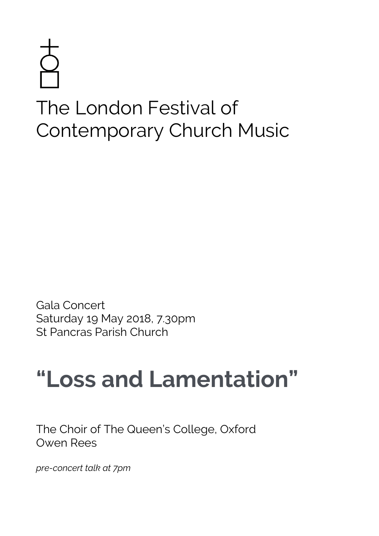# The London Festival of Contemporary Church Music

Gala Concert Saturday 19 May 2018, 7.30pm St Pancras Parish Church

# **"Loss and Lamentation"**

The Choir of The Queen's College, Oxford Owen Rees

*pre-concert talk at 7pm*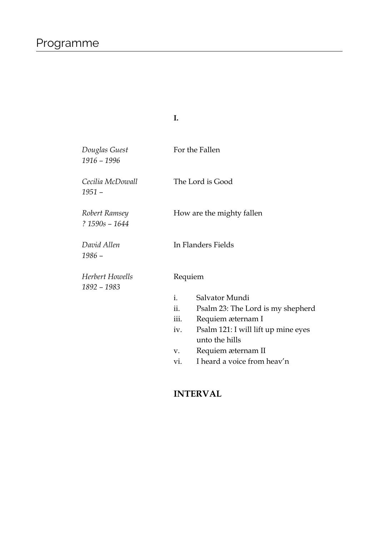*Douglas Guest* For the Fallen *1916 – 1996 Cecilia McDowall* The Lord is Good *1951 – Robert Ramsey* How are the mighty fallen *? 1590s – 1644 David Allen* In Flanders Fields *1986 –*  **Herbert Howells** Requiem *1892 – 1983* i. Salvator Mundi ii. Psalm 23: The Lord is my shepherd iii. Requiem æternam I iv. Psalm 121: I will lift up mine eyes unto the hills v. Requiem æternam II vi. I heard a voice from heav'n

**I.**

#### **INTERVAL**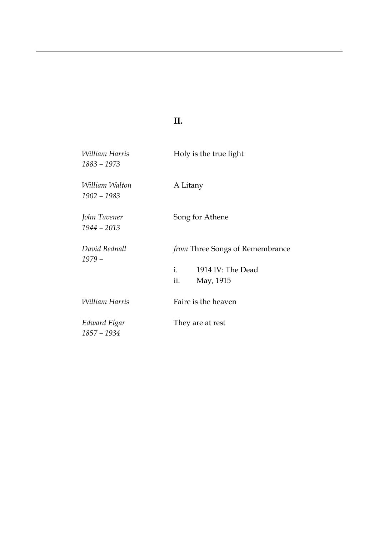## **II.**

| <i>William Harris</i><br>1883 - 1973 | Holy is the true light                 |
|--------------------------------------|----------------------------------------|
| William Walton<br>1902 - 1983        | A Litany                               |
| John Tavener<br>$1944 - 2013$        | Song for Athene                        |
| David Bednall<br>$1979-$             | <i>from</i> Three Songs of Remembrance |
|                                      | $i$ .<br>1914 IV: The Dead             |
|                                      | ii.<br>May, 1915                       |
| William Harris                       | Faire is the heaven                    |
| Edward Elgar<br>1857 - 1934          | They are at rest                       |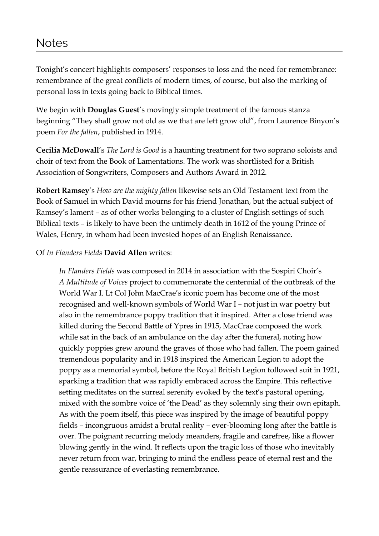### Notes

Tonight's concert highlights composers' responses to loss and the need for remembrance: remembrance of the great conflicts of modern times, of course, but also the marking of personal loss in texts going back to Biblical times.

We begin with **Douglas Guest**'s movingly simple treatment of the famous stanza beginning "They shall grow not old as we that are left grow old", from Laurence Binyon's poem *For the fallen*, published in 1914.

**Cecilia McDowall**'s *The Lord is Good* is a haunting treatment for two soprano soloists and choir of text from the Book of Lamentations. The work was shortlisted for a British Association of Songwriters, Composers and Authors Award in 2012.

**Robert Ramsey**'s *How are the mighty fallen* likewise sets an Old Testament text from the Book of Samuel in which David mourns for his friend Jonathan, but the actual subject of Ramsey's lament – as of other works belonging to a cluster of English settings of such Biblical texts – is likely to have been the untimely death in 1612 of the young Prince of Wales, Henry, in whom had been invested hopes of an English Renaissance.

#### Of *In Flanders Fields* **David Allen** writes:

*In Flanders Fields* was composed in 2014 in association with the Sospiri Choir's *A Multitude of Voices* project to commemorate the centennial of the outbreak of the World War I. Lt Col John MacCrae's iconic poem has become one of the most recognised and well-known symbols of World War I – not just in war poetry but also in the remembrance poppy tradition that it inspired. After a close friend was killed during the Second Battle of Ypres in 1915, MacCrae composed the work while sat in the back of an ambulance on the day after the funeral, noting how quickly poppies grew around the graves of those who had fallen. The poem gained tremendous popularity and in 1918 inspired the American Legion to adopt the poppy as a memorial symbol, before the Royal British Legion followed suit in 1921, sparking a tradition that was rapidly embraced across the Empire. This reflective setting meditates on the surreal serenity evoked by the text's pastoral opening, mixed with the sombre voice of 'the Dead' as they solemnly sing their own epitaph. As with the poem itself, this piece was inspired by the image of beautiful poppy fields – incongruous amidst a brutal reality – ever-blooming long after the battle is over. The poignant recurring melody meanders, fragile and carefree, like a flower blowing gently in the wind. It reflects upon the tragic loss of those who inevitably never return from war, bringing to mind the endless peace of eternal rest and the gentle reassurance of everlasting remembrance.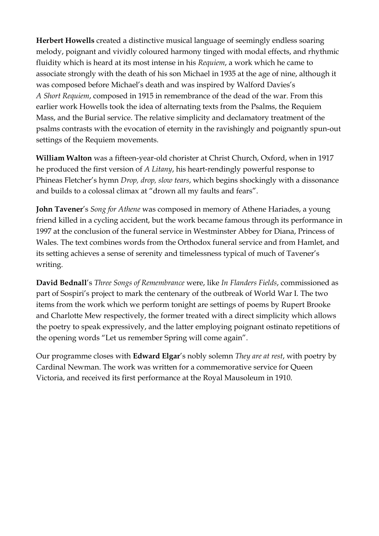**Herbert Howells** created a distinctive musical language of seemingly endless soaring melody, poignant and vividly coloured harmony tinged with modal effects, and rhythmic fluidity which is heard at its most intense in his *Requiem*, a work which he came to associate strongly with the death of his son Michael in 1935 at the age of nine, although it was composed before Michael's death and was inspired by Walford Davies's *A Short Requiem*, composed in 1915 in remembrance of the dead of the war. From this earlier work Howells took the idea of alternating texts from the Psalms, the Requiem Mass, and the Burial service. The relative simplicity and declamatory treatment of the psalms contrasts with the evocation of eternity in the ravishingly and poignantly spun-out settings of the Requiem movements.

**William Walton** was a fifteen-year-old chorister at Christ Church, Oxford, when in 1917 he produced the first version of *A Litany*, his heart-rendingly powerful response to Phineas Fletcher's hymn *Drop, drop, slow tears*, which begins shockingly with a dissonance and builds to a colossal climax at "drown all my faults and fears".

**John Tavener**'s *Song for Athene* was composed in memory of Athene Hariades, a young friend killed in a cycling accident, but the work became famous through its performance in 1997 at the conclusion of the funeral service in Westminster Abbey for Diana, Princess of Wales. The text combines words from the Orthodox funeral service and from Hamlet, and its setting achieves a sense of serenity and timelessness typical of much of Tavener's writing.

**David Bednall**'s *Three Songs of Remembrance* were, like *In Flanders Fields*, commissioned as part of Sospiri's project to mark the centenary of the outbreak of World War I. The two items from the work which we perform tonight are settings of poems by Rupert Brooke and Charlotte Mew respectively, the former treated with a direct simplicity which allows the poetry to speak expressively, and the latter employing poignant ostinato repetitions of the opening words "Let us remember Spring will come again".

Our programme closes with **Edward Elgar**'s nobly solemn *They are at rest*, with poetry by Cardinal Newman. The work was written for a commemorative service for Queen Victoria, and received its first performance at the Royal Mausoleum in 1910.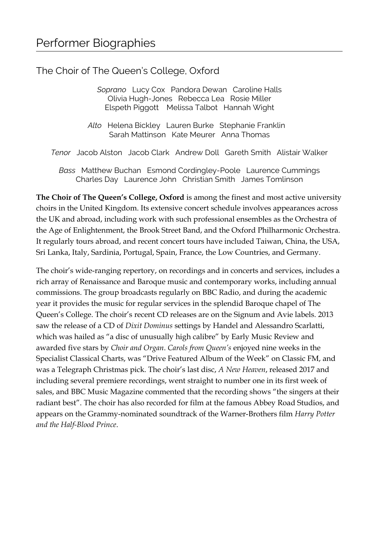#### The Choir of The Queen's College, Oxford

*Soprano* Lucy Cox Pandora Dewan Caroline Halls Olivia Hugh-Jones Rebecca Lea Rosie Miller Elspeth Piggott Melissa Talbot Hannah Wight

*Alto* Helena Bickley Lauren Burke Stephanie Franklin Sarah Mattinson Kate Meurer Anna Thomas

*Tenor* Jacob Alston Jacob Clark Andrew Doll Gareth Smith Alistair Walker

*Bass* Matthew Buchan Esmond Cordingley-Poole Laurence Cummings Charles Day Laurence John Christian Smith James Tomlinson

**The Choir of The Queen's College, Oxford** is among the finest and most active university choirs in the United Kingdom. Its extensive concert schedule involves appearances across the UK and abroad, including work with such professional ensembles as the Orchestra of the Age of Enlightenment, the Brook Street Band, and the Oxford Philharmonic Orchestra. It regularly tours abroad, and recent concert tours have included Taiwan, China, the USA, Sri Lanka, Italy, Sardinia, Portugal, Spain, France, the Low Countries, and Germany.

The choir's wide-ranging repertory, on recordings and in concerts and services, includes a rich array of Renaissance and Baroque music and contemporary works, including annual commissions. The group broadcasts regularly on BBC Radio, and during the academic year it provides the music for regular services in the splendid Baroque chapel of The Queen's College. The choir's recent CD releases are on the Signum and Avie labels. 2013 saw the release of a CD of *Dixit Dominus* settings by Handel and Alessandro Scarlatti, which was hailed as "a disc of unusually high calibre" by Early Music Review and awarded five stars by *Choir and Organ*. *Carols from Queen's* enjoyed nine weeks in the Specialist Classical Charts, was "Drive Featured Album of the Week" on Classic FM, and was a Telegraph Christmas pick. The choir's last disc, *A New Heaven*, released 2017 and including several premiere recordings, went straight to number one in its first week of sales, and BBC Music Magazine commented that the recording shows "the singers at their radiant best". The choir has also recorded for film at the famous Abbey Road Studios, and appears on the Grammy-nominated soundtrack of the Warner-Brothers film *Harry Potter and the Half-Blood Prince*.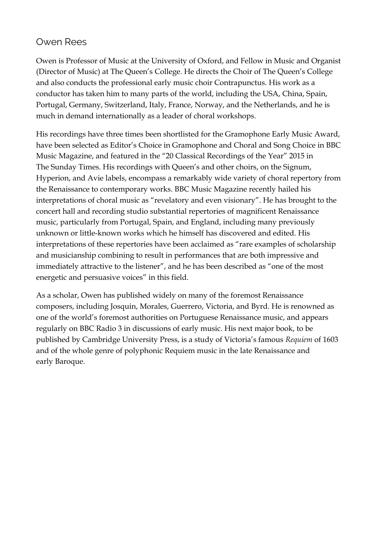#### Owen Rees

Owen is Professor of Music at the University of Oxford, and Fellow in Music and Organist (Director of Music) at The Queen's College. He directs the Choir of The Queen's College and also conducts the professional early music choir Contrapunctus. His work as a conductor has taken him to many parts of the world, including the USA, China, Spain, Portugal, Germany, Switzerland, Italy, France, Norway, and the Netherlands, and he is much in demand internationally as a leader of choral workshops.

His recordings have three times been shortlisted for the Gramophone Early Music Award, have been selected as Editor's Choice in Gramophone and Choral and Song Choice in BBC Music Magazine, and featured in the "20 Classical Recordings of the Year" 2015 in The Sunday Times. His recordings with Queen's and other choirs, on the Signum, Hyperion, and Avie labels, encompass a remarkably wide variety of choral repertory from the Renaissance to contemporary works. BBC Music Magazine recently hailed his interpretations of choral music as "revelatory and even visionary". He has brought to the concert hall and recording studio substantial repertories of magnificent Renaissance music, particularly from Portugal, Spain, and England, including many previously unknown or little-known works which he himself has discovered and edited. His interpretations of these repertories have been acclaimed as "rare examples of scholarship and musicianship combining to result in performances that are both impressive and immediately attractive to the listener", and he has been described as "one of the most energetic and persuasive voices" in this field.

As a scholar, Owen has published widely on many of the foremost Renaissance composers, including Josquin, Morales, Guerrero, Victoria, and Byrd. He is renowned as one of the world's foremost authorities on Portuguese Renaissance music, and appears regularly on BBC Radio 3 in discussions of early music. His next major book, to be published by Cambridge University Press, is a study of Victoria's famous *Requiem* of 1603 and of the whole genre of polyphonic Requiem music in the late Renaissance and early Baroque.